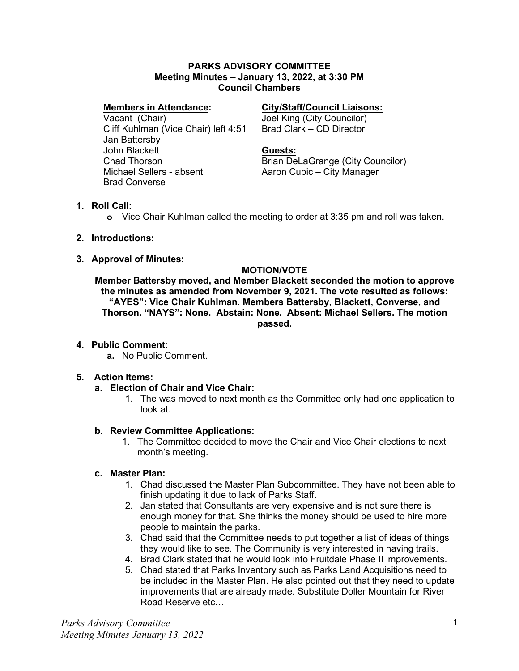#### **PARKS ADVISORY COMMITTEE Meeting Minutes – January 13, 2022, at 3:30 PM Council Chambers**

#### **Members in Attendance:**

Vacant (Chair) Cliff Kuhlman (Vice Chair) left 4:51 Jan Battersby John Blackett Chad Thorson Michael Sellers - absent Brad Converse

### **City/Staff/Council Liaisons:**

Joel King (City Councilor) Brad Clark – CD Director

#### **Guests:**

Brian DeLaGrange (City Councilor) Aaron Cubic – City Manager

### **1. Roll Call:**

**o** Vice Chair Kuhlman called the meeting to order at 3:35 pm and roll was taken.

- **2. Introductions:**
- **3. Approval of Minutes:**

### **MOTION/VOTE**

**Member Battersby moved, and Member Blackett seconded the motion to approve the minutes as amended from November 9, 2021. The vote resulted as follows: "AYES": Vice Chair Kuhlman. Members Battersby, Blackett, Converse, and Thorson. "NAYS": None. Abstain: None. Absent: Michael Sellers. The motion passed.**

## **4. Public Comment:**

**a.** No Public Comment.

## **5. Action Items:**

## **a. Election of Chair and Vice Chair:**

1. The was moved to next month as the Committee only had one application to look at.

## **b. Review Committee Applications:**

1. The Committee decided to move the Chair and Vice Chair elections to next month's meeting.

## **c. Master Plan:**

- 1. Chad discussed the Master Plan Subcommittee. They have not been able to finish updating it due to lack of Parks Staff.
- 2. Jan stated that Consultants are very expensive and is not sure there is enough money for that. She thinks the money should be used to hire more people to maintain the parks.
- 3. Chad said that the Committee needs to put together a list of ideas of things they would like to see. The Community is very interested in having trails.
- 4. Brad Clark stated that he would look into Fruitdale Phase II improvements.
- 5. Chad stated that Parks Inventory such as Parks Land Acquisitions need to be included in the Master Plan. He also pointed out that they need to update improvements that are already made. Substitute Doller Mountain for River Road Reserve etc…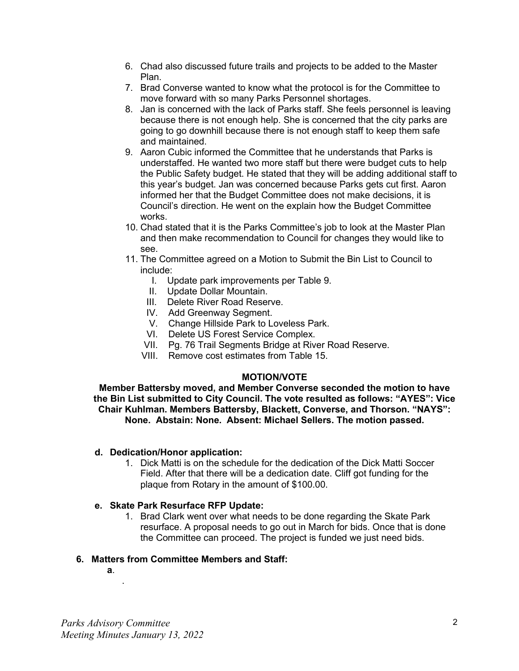- 6. Chad also discussed future trails and projects to be added to the Master Plan.
- 7. Brad Converse wanted to know what the protocol is for the Committee to move forward with so many Parks Personnel shortages.
- 8. Jan is concerned with the lack of Parks staff. She feels personnel is leaving because there is not enough help. She is concerned that the city parks are going to go downhill because there is not enough staff to keep them safe and maintained.
- 9. Aaron Cubic informed the Committee that he understands that Parks is understaffed. He wanted two more staff but there were budget cuts to help the Public Safety budget. He stated that they will be adding additional staff to this year's budget. Jan was concerned because Parks gets cut first. Aaron informed her that the Budget Committee does not make decisions, it is Council's direction. He went on the explain how the Budget Committee works.
- 10. Chad stated that it is the Parks Committee's job to look at the Master Plan and then make recommendation to Council for changes they would like to see.
- 11. The Committee agreed on a Motion to Submit the Bin List to Council to include:
	- I. Update park improvements per Table 9.
	- II. Update Dollar Mountain.
	- III. Delete River Road Reserve.
	- IV. Add Greenway Segment.
	- V. Change Hillside Park to Loveless Park.
	- VI. Delete US Forest Service Complex.
	- VII. Pg. 76 Trail Segments Bridge at River Road Reserve.
	- VIII. Remove cost estimates from Table 15.

#### **MOTION/VOTE**

**Member Battersby moved, and Member Converse seconded the motion to have the Bin List submitted to City Council. The vote resulted as follows: "AYES": Vice Chair Kuhlman. Members Battersby, Blackett, Converse, and Thorson. "NAYS": None. Abstain: None. Absent: Michael Sellers. The motion passed.**

#### **d. Dedication/Honor application:**

1. Dick Matti is on the schedule for the dedication of the Dick Matti Soccer Field. After that there will be a dedication date. Cliff got funding for the plaque from Rotary in the amount of \$100.00.

#### **e. Skate Park Resurface RFP Update:**

1. Brad Clark went over what needs to be done regarding the Skate Park resurface. A proposal needs to go out in March for bids. Once that is done the Committee can proceed. The project is funded we just need bids.

## **6. Matters from Committee Members and Staff:**

**a**.

.